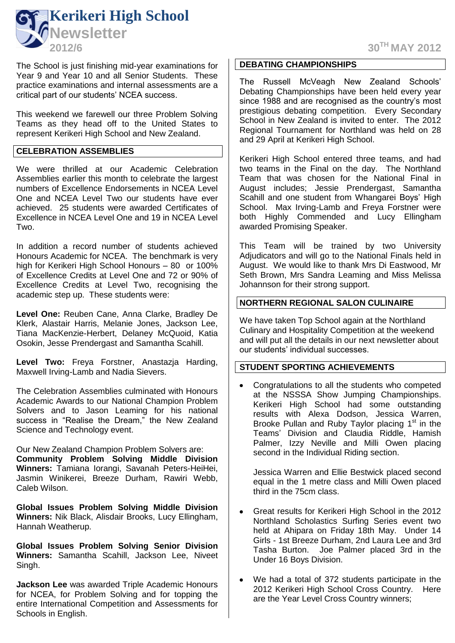

The School is just finishing mid-year examinations for Year 9 and Year 10 and all Senior Students. These practice examinations and internal assessments are a critical part of our students' NCEA success.

This weekend we farewell our three Problem Solving Teams as they head off to the United States to represent Kerikeri High School and New Zealand.

#### **CELEBRATION ASSEMBLIES**

We were thrilled at our Academic Celebration Assemblies earlier this month to celebrate the largest numbers of Excellence Endorsements in NCEA Level One and NCEA Level Two our students have ever achieved. 25 students were awarded Certificates of Excellence in NCEA Level One and 19 in NCEA Level Two.

In addition a record number of students achieved Honours Academic for NCEA. The benchmark is very high for Kerikeri High School Honours – 80 or 100% of Excellence Credits at Level One and 72 or 90% of Excellence Credits at Level Two, recognising the academic step up. These students were:

**Level One:** Reuben Cane, Anna Clarke, Bradley De Klerk, Alastair Harris, Melanie Jones, Jackson Lee, Tiana MacKenzie-Herbert, Delaney McQuoid, Katia Osokin, Jesse Prendergast and Samantha Scahill.

**Level Two:** Freya Forstner, Anastazja Harding, Maxwell Irving-Lamb and Nadia Sievers.

The Celebration Assemblies culminated with Honours Academic Awards to our National Champion Problem Solvers and to Jason Leaming for his national success in "Realise the Dream," the New Zealand Science and Technology event.

Our New Zealand Champion Problem Solvers are: **Community Problem Solving Middle Division Winners:** Tamiana Iorangi, Savanah Peters-HeiHei, Jasmin Winikerei, Breeze Durham, Rawiri Webb, Caleb Wilson.

**Global Issues Problem Solving Middle Division Winners:** Nik Black, Alisdair Brooks, Lucy Ellingham, Hannah Weatherup.

**Global Issues Problem Solving Senior Division Winners:** Samantha Scahill, Jackson Lee, Niveet Singh.

**Jackson Lee** was awarded Triple Academic Honours for NCEA, for Problem Solving and for topping the entire International Competition and Assessments for Schools in English.

**2012/6 30TH MAY 2012**

#### **DEBATING CHAMPIONSHIPS**

The Russell McVeagh New Zealand Schools' Debating Championships have been held every year since 1988 and are recognised as the country's most prestigious debating competition. Every Secondary School in New Zealand is invited to enter. The 2012 Regional Tournament for Northland was held on 28 and 29 April at Kerikeri High School.

Kerikeri High School entered three teams, and had two teams in the Final on the day. The Northland Team that was chosen for the National Final in August includes; Jessie Prendergast, Samantha Scahill and one student from Whangarei Boys' High School. Max Irving-Lamb and Freya Forstner were both Highly Commended and Lucy Ellingham awarded Promising Speaker.

This Team will be trained by two University Adjudicators and will go to the National Finals held in August. We would like to thank Mrs Di Eastwood, Mr Seth Brown, Mrs Sandra Leaming and Miss Melissa Johannson for their strong support.

#### **NORTHERN REGIONAL SALON CULINAIRE**

We have taken Top School again at the Northland Culinary and Hospitality Competition at the weekend and will put all the details in our next newsletter about our students' individual successes.

#### **STUDENT SPORTING ACHIEVEMENTS**

Congratulations to all the students who competed  $\bullet$ at the NSSSA Show Jumping Championships. Kerikeri High School had some outstanding results with Alexa Dodson, Jessica Warren, Brooke Pullan and Ruby Taylor placing  $1<sup>st</sup>$  in the Teams' Division and Claudia Riddle, Hamish Palmer, Izzy Neville and Milli Owen placing second in the Individual Riding section.

Jessica Warren and Ellie Bestwick placed second equal in the 1 metre class and Milli Owen placed third in the 75cm class.

- Great results for Kerikeri High School in the 2012  $\bullet$ Northland Scholastics Surfing Series event two held at Ahipara on Friday 18th May. Under 14 Girls - 1st Breeze Durham, 2nd Laura Lee and 3rd Tasha Burton. Joe Palmer placed 3rd in the Under 16 Boys Division.
- $\bullet$ We had a total of 372 students participate in the 2012 Kerikeri High School Cross Country. Here are the Year Level Cross Country winners;